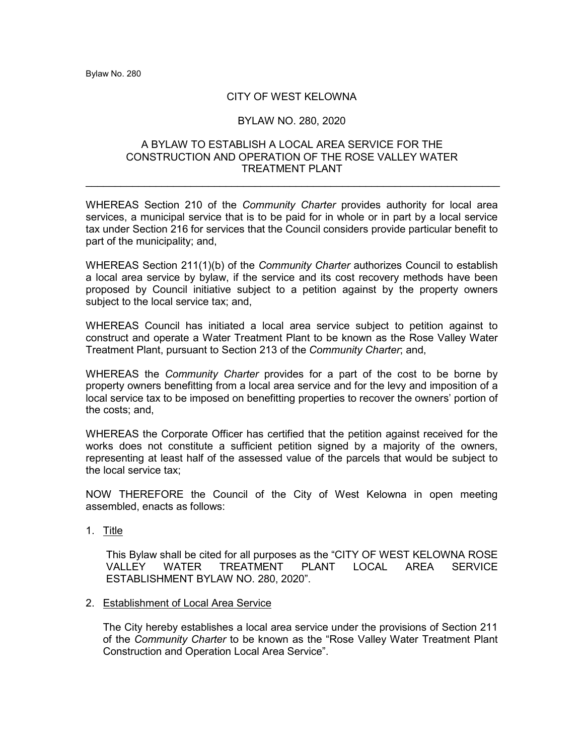### CITY OF WEST KELOWNA

### BYLAW NO. 280, 2020

### A BYLAW TO ESTABLISH A LOCAL AREA SERVICE FOR THE CONSTRUCTION AND OPERATION OF THE ROSE VALLEY WATER TREATMENT PLANT

 $\_$ 

WHEREAS Section 210 of the *Community Charter* provides authority for local area services, a municipal service that is to be paid for in whole or in part by a local service tax under Section 216 for services that the Council considers provide particular benefit to part of the municipality; and,

WHEREAS Section 211(1)(b) of the *Community Charter* authorizes Council to establish a local area service by bylaw, if the service and its cost recovery methods have been proposed by Council initiative subject to a petition against by the property owners subject to the local service tax; and,

WHEREAS Council has initiated a local area service subject to petition against to construct and operate a Water Treatment Plant to be known as the Rose Valley Water Treatment Plant, pursuant to Section 213 of the *Community Charter*; and,

WHEREAS the *Community Charter* provides for a part of the cost to be borne by property owners benefitting from a local area service and for the levy and imposition of a local service tax to be imposed on benefitting properties to recover the owners' portion of the costs; and,

WHEREAS the Corporate Officer has certified that the petition against received for the works does not constitute a sufficient petition signed by a majority of the owners, representing at least half of the assessed value of the parcels that would be subject to the local service tax;

NOW THEREFORE the Council of the City of West Kelowna in open meeting assembled, enacts as follows:

1. Title

This Bylaw shall be cited for all purposes as the "CITY OF WEST KELOWNA ROSE VALLEY WATER TREATMENT PLANT LOCAL AREA SERVICE ESTABLISHMENT BYLAW NO. 280, 2020".

2. Establishment of Local Area Service

The City hereby establishes a local area service under the provisions of Section 211 of the *Community Charter* to be known as the "Rose Valley Water Treatment Plant Construction and Operation Local Area Service".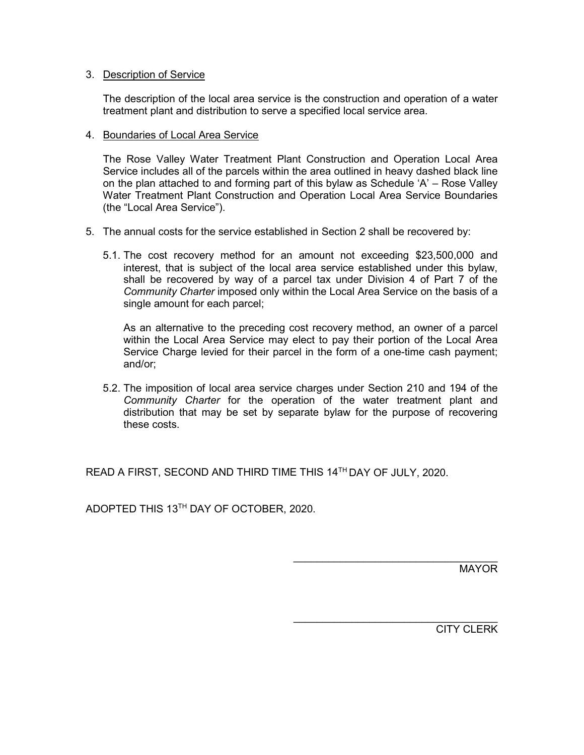# 3. Description of Service

The description of the local area service is the construction and operation of a water treatment plant and distribution to serve a specified local service area.

# 4. Boundaries of Local Area Service

The Rose Valley Water Treatment Plant Construction and Operation Local Area Service includes all of the parcels within the area outlined in heavy dashed black line on the plan attached to and forming part of this bylaw as Schedule 'A' – Rose Valley Water Treatment Plant Construction and Operation Local Area Service Boundaries (the "Local Area Service").

- 5. The annual costs for the service established in Section 2 shall be recovered by:
	- 5.1. The cost recovery method for an amount not exceeding \$23,500,000 and interest, that is subject of the local area service established under this bylaw, shall be recovered by way of a parcel tax under Division 4 of Part 7 of the *Community Charter* imposed only within the Local Area Service on the basis of a single amount for each parcel;

As an alternative to the preceding cost recovery method, an owner of a parcel within the Local Area Service may elect to pay their portion of the Local Area Service Charge levied for their parcel in the form of a one-time cash payment; and/or;

5.2. The imposition of local area service charges under Section 210 and 194 of the *Community Charter* for the operation of the water treatment plant and distribution that may be set by separate bylaw for the purpose of recovering these costs.

READ A FIRST, SECOND AND THIRD TIME THIS 14TH DAY OF JULY, 2020.

ADOPTED THIS 13TH DAY OF OCTOBER, 2020.

MAYOR

\_\_\_\_\_\_\_\_\_\_\_\_\_\_\_\_\_\_\_\_\_\_\_\_\_\_\_\_\_\_\_\_\_\_\_

\_\_\_\_\_\_\_\_\_\_\_\_\_\_\_\_\_\_\_\_\_\_\_\_\_\_\_\_\_\_\_\_\_\_\_ CITY CLERK